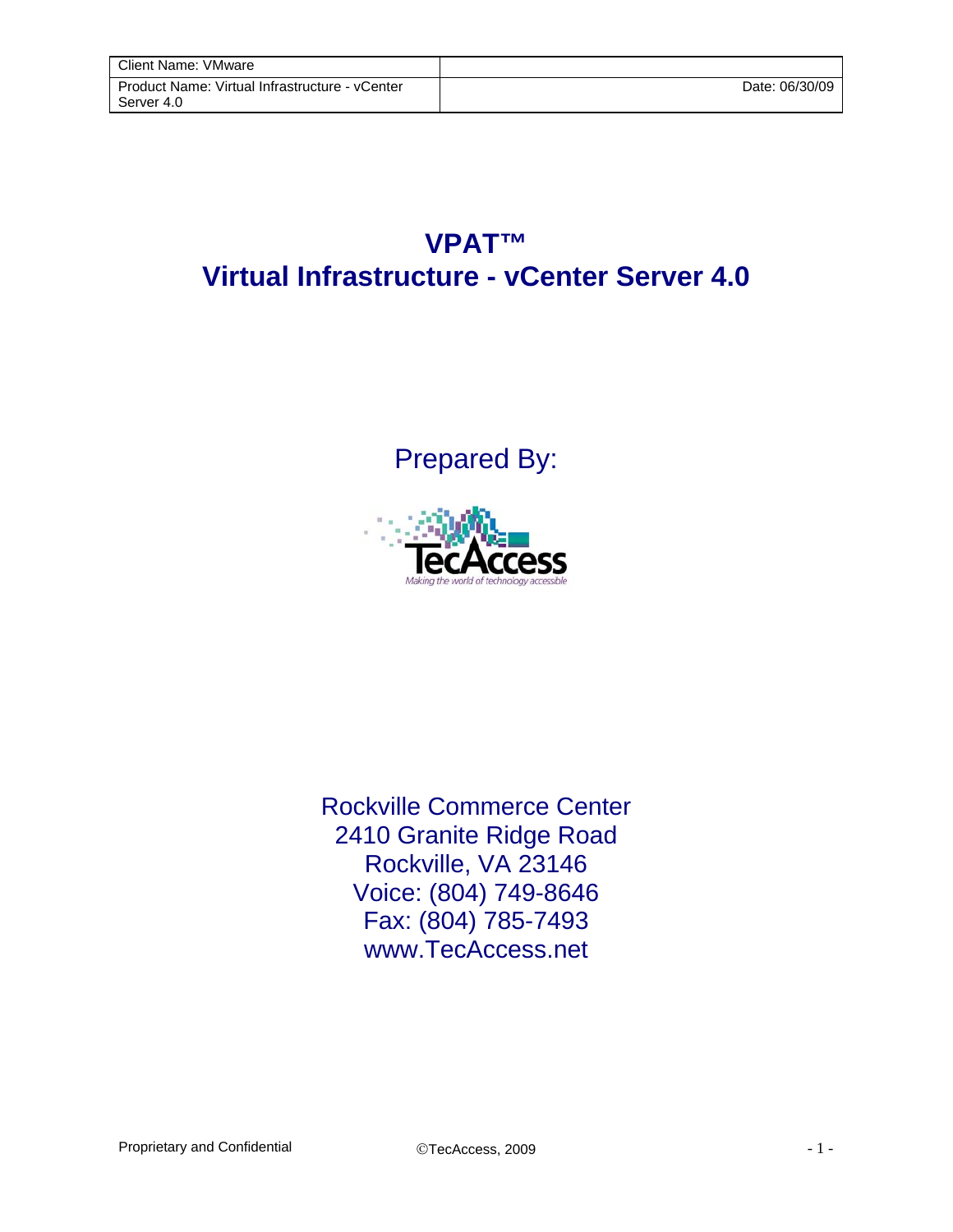## **VPAT™ Virtual Infrastructure - vCenter Server 4.0**

Prepared By:



Rockville Commerce Center 2410 Granite Ridge Road Rockville, VA 23146 Voice: (804) 749-8646 Fax: (804) 785-7493 www.TecAccess.net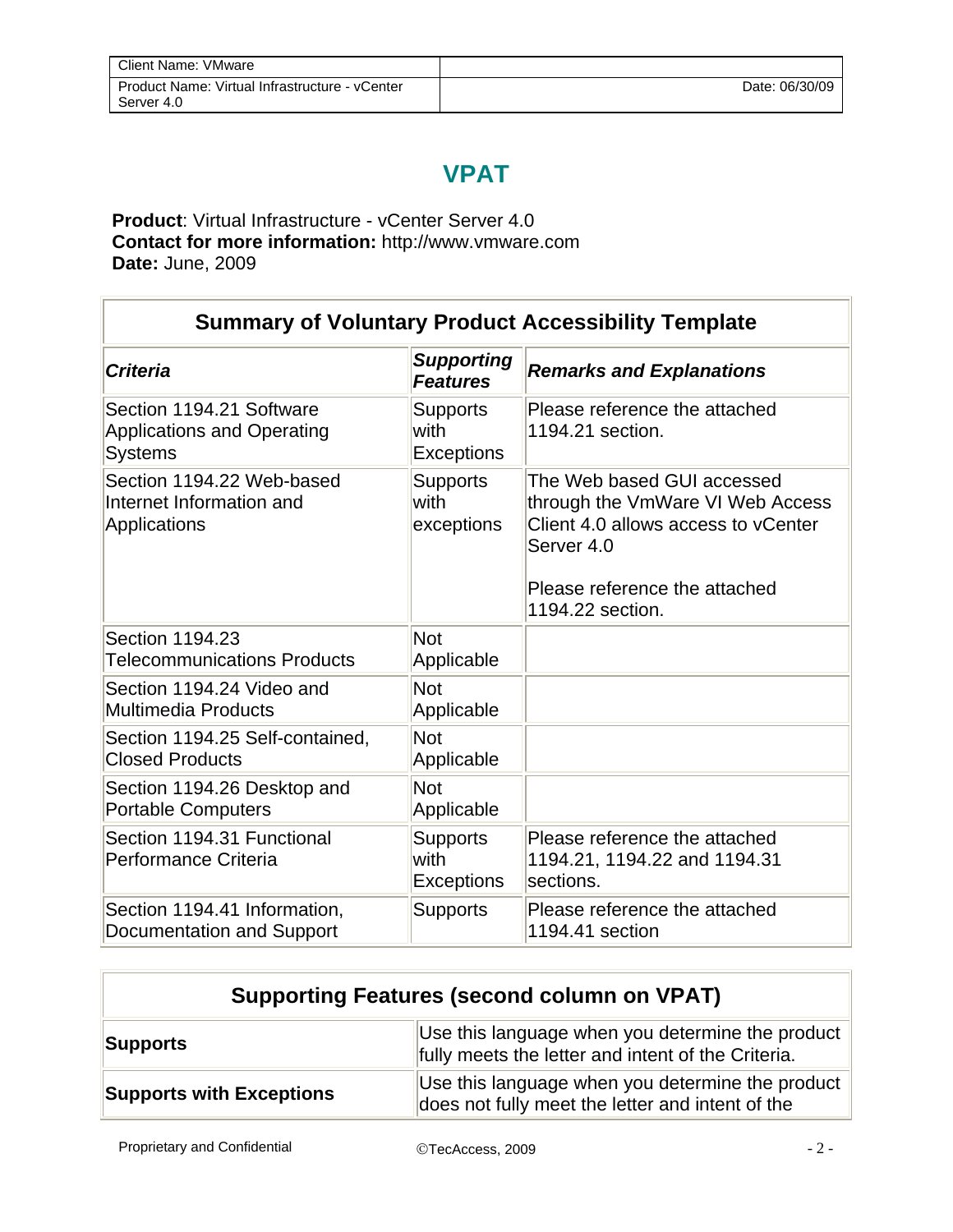## **VPAT**

**Product**: Virtual Infrastructure - vCenter Server 4.0 **Contact for more information:** http://www.vmware.com **Date:** June, 2009

| <b>Summary of Voluntary Product Accessibility Template</b>                      |                                              |                                                                                                                                                                          |
|---------------------------------------------------------------------------------|----------------------------------------------|--------------------------------------------------------------------------------------------------------------------------------------------------------------------------|
| <b>Criteria</b>                                                                 | <b>Supporting</b><br><b>Features</b>         | <b>Remarks and Explanations</b>                                                                                                                                          |
| Section 1194.21 Software<br><b>Applications and Operating</b><br><b>Systems</b> | <b>Supports</b><br>with<br><b>Exceptions</b> | Please reference the attached<br>1194.21 section.                                                                                                                        |
| Section 1194.22 Web-based<br>Internet Information and<br>Applications           | <b>Supports</b><br>with<br>exceptions        | The Web based GUI accessed<br>through the VmWare VI Web Access<br>Client 4.0 allows access to yCenter<br>Server 4.0<br>Please reference the attached<br>1194.22 section. |
| Section 1194.23<br><b>Telecommunications Products</b>                           | <b>Not</b><br>Applicable                     |                                                                                                                                                                          |
| Section 1194.24 Video and<br><b>Multimedia Products</b>                         | <b>Not</b><br>Applicable                     |                                                                                                                                                                          |
| Section 1194.25 Self-contained,<br><b>Closed Products</b>                       | <b>Not</b><br>Applicable                     |                                                                                                                                                                          |
| Section 1194.26 Desktop and<br><b>Portable Computers</b>                        | <b>Not</b><br>Applicable                     |                                                                                                                                                                          |
| Section 1194.31 Functional<br>Performance Criteria                              | <b>Supports</b><br>with<br><b>Exceptions</b> | Please reference the attached<br>1194.21, 1194.22 and 1194.31<br>sections.                                                                                               |
| Section 1194.41 Information,<br>Documentation and Support                       | <b>Supports</b>                              | Please reference the attached<br>1194.41 section                                                                                                                         |

| <b>Supporting Features (second column on VPAT)</b> |                                                                                                                    |
|----------------------------------------------------|--------------------------------------------------------------------------------------------------------------------|
| <b>Supports</b>                                    | Use this language when you determine the product $\parallel$<br>fully meets the letter and intent of the Criteria. |
| <b>Supports with Exceptions</b>                    | Use this language when you determine the product<br>does not fully meet the letter and intent of the               |

Proprietary and Confidential  $\qquad \qquad \odot$ TecAccess, 2009  $\qquad \qquad -2$  -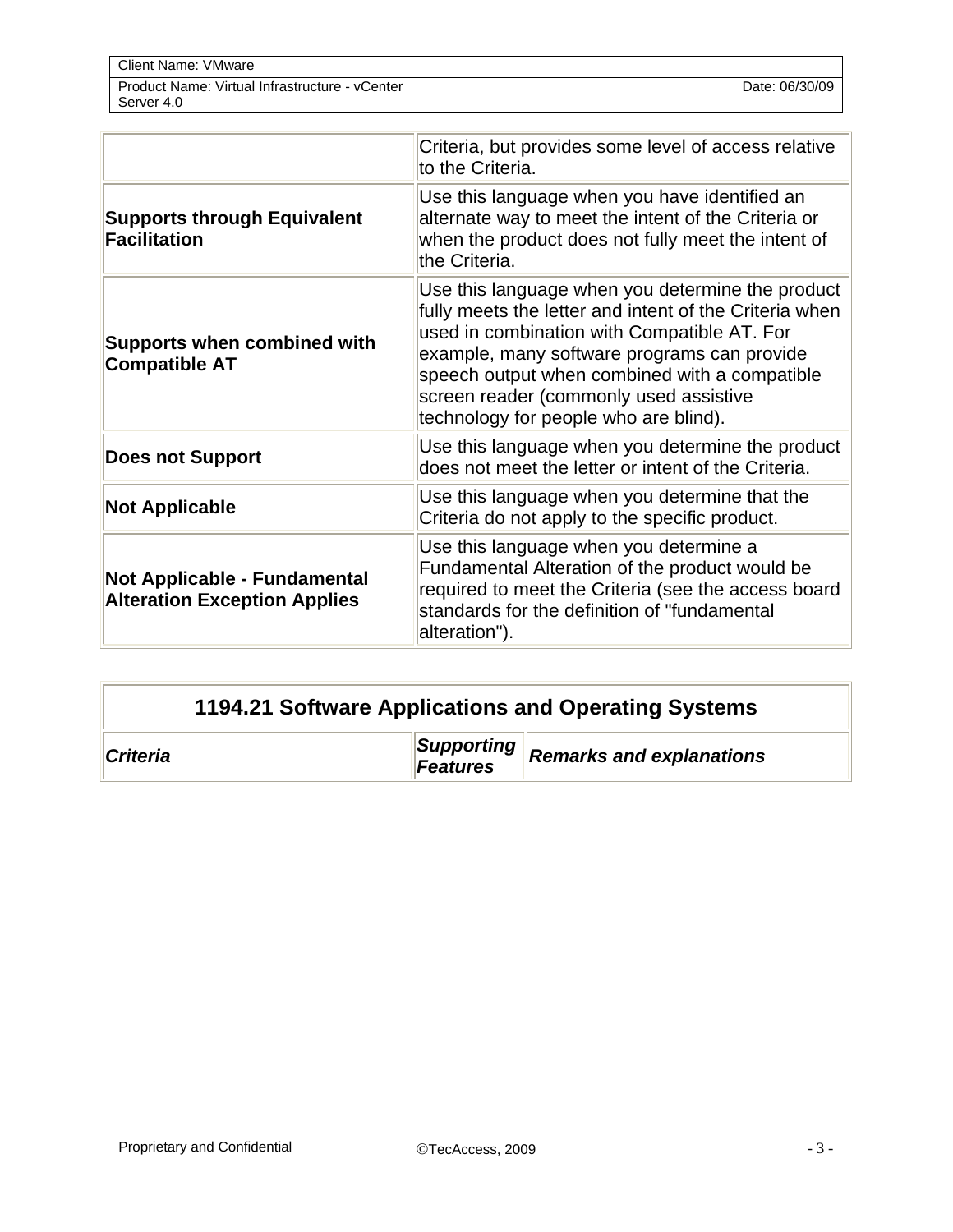| Client Name: VMware                                          |                |
|--------------------------------------------------------------|----------------|
| Product Name: Virtual Infrastructure - vCenter<br>Server 4.0 | Date: 06/30/09 |

|                                                                     | Criteria, but provides some level of access relative<br>to the Criteria.                                                                                                                                                                                                                                                                     |
|---------------------------------------------------------------------|----------------------------------------------------------------------------------------------------------------------------------------------------------------------------------------------------------------------------------------------------------------------------------------------------------------------------------------------|
| <b>Supports through Equivalent</b><br><b>Facilitation</b>           | Use this language when you have identified an<br>alternate way to meet the intent of the Criteria or<br>when the product does not fully meet the intent of<br>the Criteria.                                                                                                                                                                  |
| <b>Supports when combined with</b><br><b>Compatible AT</b>          | Use this language when you determine the product<br>fully meets the letter and intent of the Criteria when<br>used in combination with Compatible AT. For<br>example, many software programs can provide<br>speech output when combined with a compatible<br>screen reader (commonly used assistive<br>technology for people who are blind). |
| <b>Does not Support</b>                                             | Use this language when you determine the product<br>does not meet the letter or intent of the Criteria.                                                                                                                                                                                                                                      |
| <b>Not Applicable</b>                                               | Use this language when you determine that the<br>Criteria do not apply to the specific product.                                                                                                                                                                                                                                              |
| Not Applicable - Fundamental<br><b>Alteration Exception Applies</b> | Use this language when you determine a<br>Fundamental Alteration of the product would be<br>required to meet the Criteria (see the access board<br>standards for the definition of "fundamental<br>alteration").                                                                                                                             |

| 1194.21 Software Applications and Operating Systems |  |                        |                                 |
|-----------------------------------------------------|--|------------------------|---------------------------------|
| <b>Criteria</b>                                     |  | Supporting<br>Features | <b>Remarks and explanations</b> |

 $\overline{\phantom{0}}$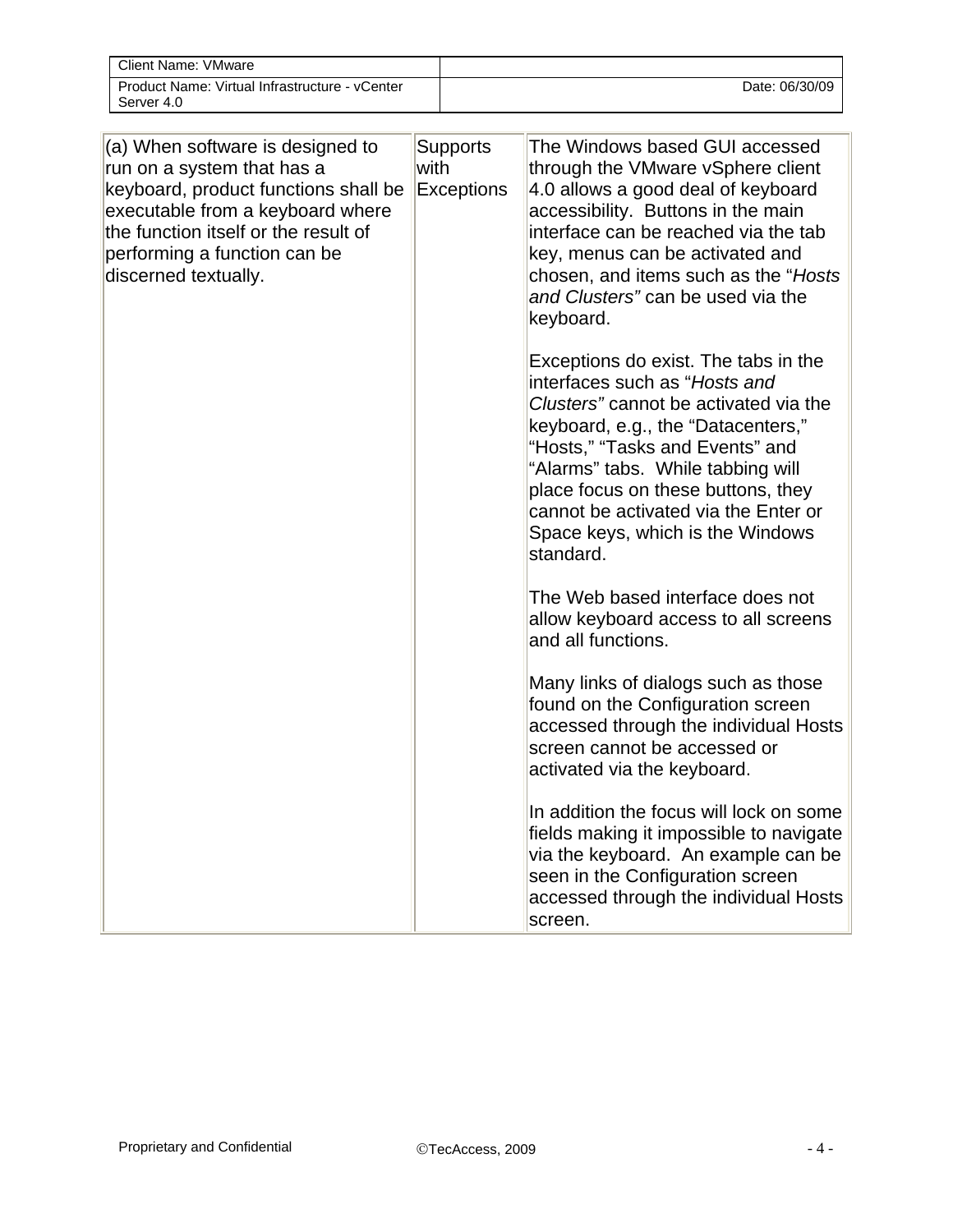| Client Name: VMware                                          |                |
|--------------------------------------------------------------|----------------|
| Product Name: Virtual Infrastructure - vCenter<br>Server 4.0 | Date: 06/30/09 |

| (a) When software is designed to<br>run on a system that has a<br>keyboard, product functions shall be<br>executable from a keyboard where<br>the function itself or the result of<br>performing a function can be<br>discerned textually. | <b>Supports</b><br>with<br><b>Exceptions</b> | The Windows based GUI accessed<br>through the VMware vSphere client<br>4.0 allows a good deal of keyboard<br>accessibility. Buttons in the main<br>interface can be reached via the tab<br>key, menus can be activated and<br>chosen, and items such as the "Hosts"<br>and Clusters" can be used via the<br>keyboard.<br>Exceptions do exist. The tabs in the |
|--------------------------------------------------------------------------------------------------------------------------------------------------------------------------------------------------------------------------------------------|----------------------------------------------|---------------------------------------------------------------------------------------------------------------------------------------------------------------------------------------------------------------------------------------------------------------------------------------------------------------------------------------------------------------|
|                                                                                                                                                                                                                                            |                                              | interfaces such as "Hosts and<br>Clusters" cannot be activated via the<br>keyboard, e.g., the "Datacenters,"<br>"Hosts," "Tasks and Events" and<br>"Alarms" tabs. While tabbing will<br>place focus on these buttons, they<br>cannot be activated via the Enter or<br>Space keys, which is the Windows<br>standard.                                           |
|                                                                                                                                                                                                                                            |                                              | The Web based interface does not<br>allow keyboard access to all screens<br>and all functions.                                                                                                                                                                                                                                                                |
|                                                                                                                                                                                                                                            |                                              | Many links of dialogs such as those<br>found on the Configuration screen<br>accessed through the individual Hosts<br>screen cannot be accessed or<br>activated via the keyboard.                                                                                                                                                                              |
|                                                                                                                                                                                                                                            |                                              | In addition the focus will lock on some<br>fields making it impossible to navigate<br>via the keyboard. An example can be<br>seen in the Configuration screen<br>accessed through the individual Hosts<br>screen.                                                                                                                                             |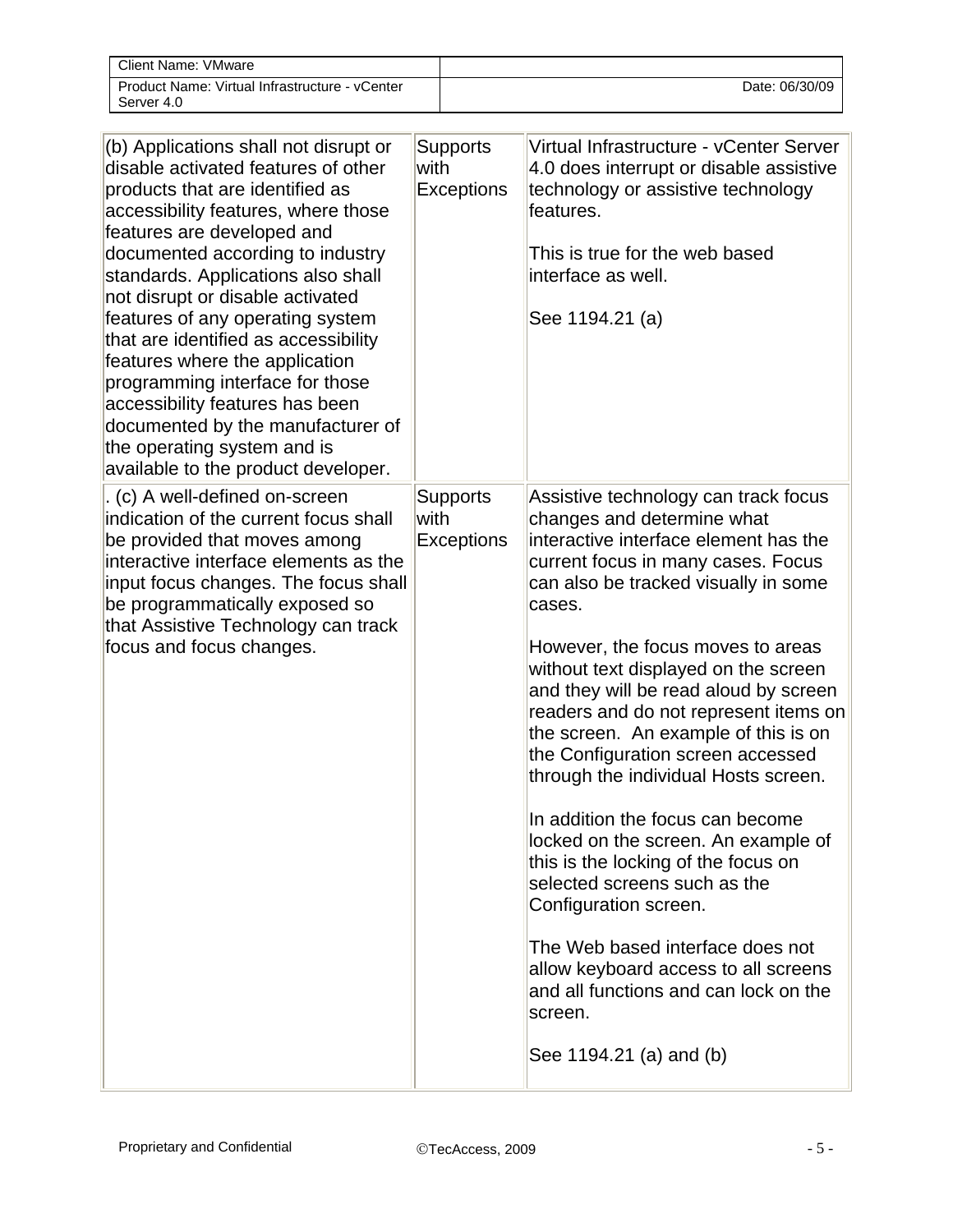| Client Name: VMware                                          |                |
|--------------------------------------------------------------|----------------|
| Product Name: Virtual Infrastructure - vCenter<br>Server 4.0 | Date: 06/30/09 |

| (b) Applications shall not disrupt or<br>disable activated features of other<br>products that are identified as<br>accessibility features, where those<br>features are developed and<br>documented according to industry<br>standards. Applications also shall<br>not disrupt or disable activated<br>features of any operating system<br>that are identified as accessibility<br>features where the application<br>programming interface for those<br>accessibility features has been<br>documented by the manufacturer of<br>the operating system and is<br>available to the product developer. | <b>Supports</b><br>with<br><b>Exceptions</b> | Virtual Infrastructure - vCenter Server<br>4.0 does interrupt or disable assistive<br>technology or assistive technology<br>features.<br>This is true for the web based<br>interface as well.<br>See 1194.21 (a)                                                                                                                                                                                                                                                                                                                                                                                                                                                                                                                                                                                                              |
|---------------------------------------------------------------------------------------------------------------------------------------------------------------------------------------------------------------------------------------------------------------------------------------------------------------------------------------------------------------------------------------------------------------------------------------------------------------------------------------------------------------------------------------------------------------------------------------------------|----------------------------------------------|-------------------------------------------------------------------------------------------------------------------------------------------------------------------------------------------------------------------------------------------------------------------------------------------------------------------------------------------------------------------------------------------------------------------------------------------------------------------------------------------------------------------------------------------------------------------------------------------------------------------------------------------------------------------------------------------------------------------------------------------------------------------------------------------------------------------------------|
| . (c) A well-defined on-screen<br>indication of the current focus shall<br>be provided that moves among<br>interactive interface elements as the<br>input focus changes. The focus shall<br>be programmatically exposed so<br>that Assistive Technology can track<br>focus and focus changes.                                                                                                                                                                                                                                                                                                     | <b>Supports</b><br>with<br><b>Exceptions</b> | Assistive technology can track focus<br>changes and determine what<br>interactive interface element has the<br>current focus in many cases. Focus<br>can also be tracked visually in some<br>cases.<br>However, the focus moves to areas<br>without text displayed on the screen<br>and they will be read aloud by screen<br>readers and do not represent items on<br>the screen. An example of this is on<br>the Configuration screen accessed<br>through the individual Hosts screen.<br>In addition the focus can become<br>locked on the screen. An example of<br>this is the locking of the focus on<br>selected screens such as the<br>Configuration screen.<br>The Web based interface does not<br>allow keyboard access to all screens<br>and all functions and can lock on the<br>screen.<br>See 1194.21 (a) and (b) |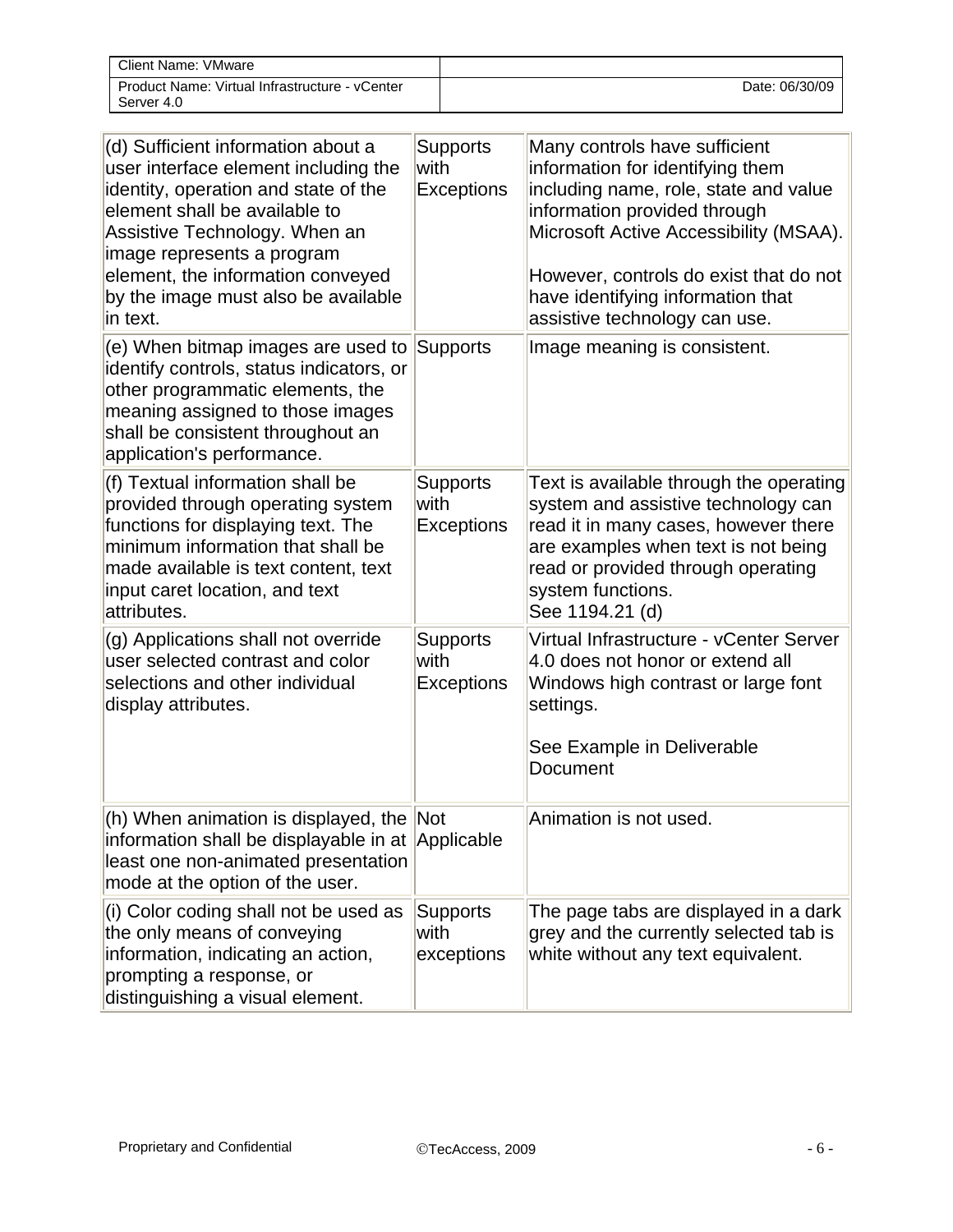| <b>Client Name: VMware</b>                                   |                |
|--------------------------------------------------------------|----------------|
| Product Name: Virtual Infrastructure - vCenter<br>Server 4.0 | Date: 06/30/09 |

| (d) Sufficient information about a<br>user interface element including the<br>identity, operation and state of the<br>element shall be available to<br>Assistive Technology. When an<br>image represents a program<br>element, the information conveyed<br>by the image must also be available<br>in text. | Supports<br>with<br><b>Exceptions</b>        | Many controls have sufficient<br>information for identifying them<br>including name, role, state and value<br>information provided through<br>Microsoft Active Accessibility (MSAA).<br>However, controls do exist that do not<br>have identifying information that<br>assistive technology can use. |
|------------------------------------------------------------------------------------------------------------------------------------------------------------------------------------------------------------------------------------------------------------------------------------------------------------|----------------------------------------------|------------------------------------------------------------------------------------------------------------------------------------------------------------------------------------------------------------------------------------------------------------------------------------------------------|
| (e) When bitmap images are used to<br>identify controls, status indicators, or<br>other programmatic elements, the<br>meaning assigned to those images<br>shall be consistent throughout an<br>application's performance.                                                                                  | Supports                                     | Image meaning is consistent.                                                                                                                                                                                                                                                                         |
| (f) Textual information shall be<br>provided through operating system<br>functions for displaying text. The<br>minimum information that shall be<br>made available is text content, text<br>input caret location, and text<br>attributes.                                                                  | <b>Supports</b><br>with<br><b>Exceptions</b> | Text is available through the operating<br>system and assistive technology can<br>read it in many cases, however there<br>are examples when text is not being<br>read or provided through operating<br>system functions.<br>See 1194.21 (d)                                                          |
| (g) Applications shall not override<br>user selected contrast and color<br>selections and other individual<br>display attributes.                                                                                                                                                                          | <b>Supports</b><br>with<br><b>Exceptions</b> | Virtual Infrastructure - vCenter Server<br>4.0 does not honor or extend all<br>Windows high contrast or large font<br>settings.<br>See Example in Deliverable<br>Document                                                                                                                            |
| (h) When animation is displayed, the Not<br>information shall be displayable in at Applicable<br>least one non-animated presentation<br>mode at the option of the user.                                                                                                                                    |                                              | Animation is not used.                                                                                                                                                                                                                                                                               |
| (i) Color coding shall not be used as<br>the only means of conveying<br>information, indicating an action,<br>prompting a response, or<br>distinguishing a visual element.                                                                                                                                 | Supports<br>with<br>exceptions               | The page tabs are displayed in a dark<br>grey and the currently selected tab is<br>white without any text equivalent.                                                                                                                                                                                |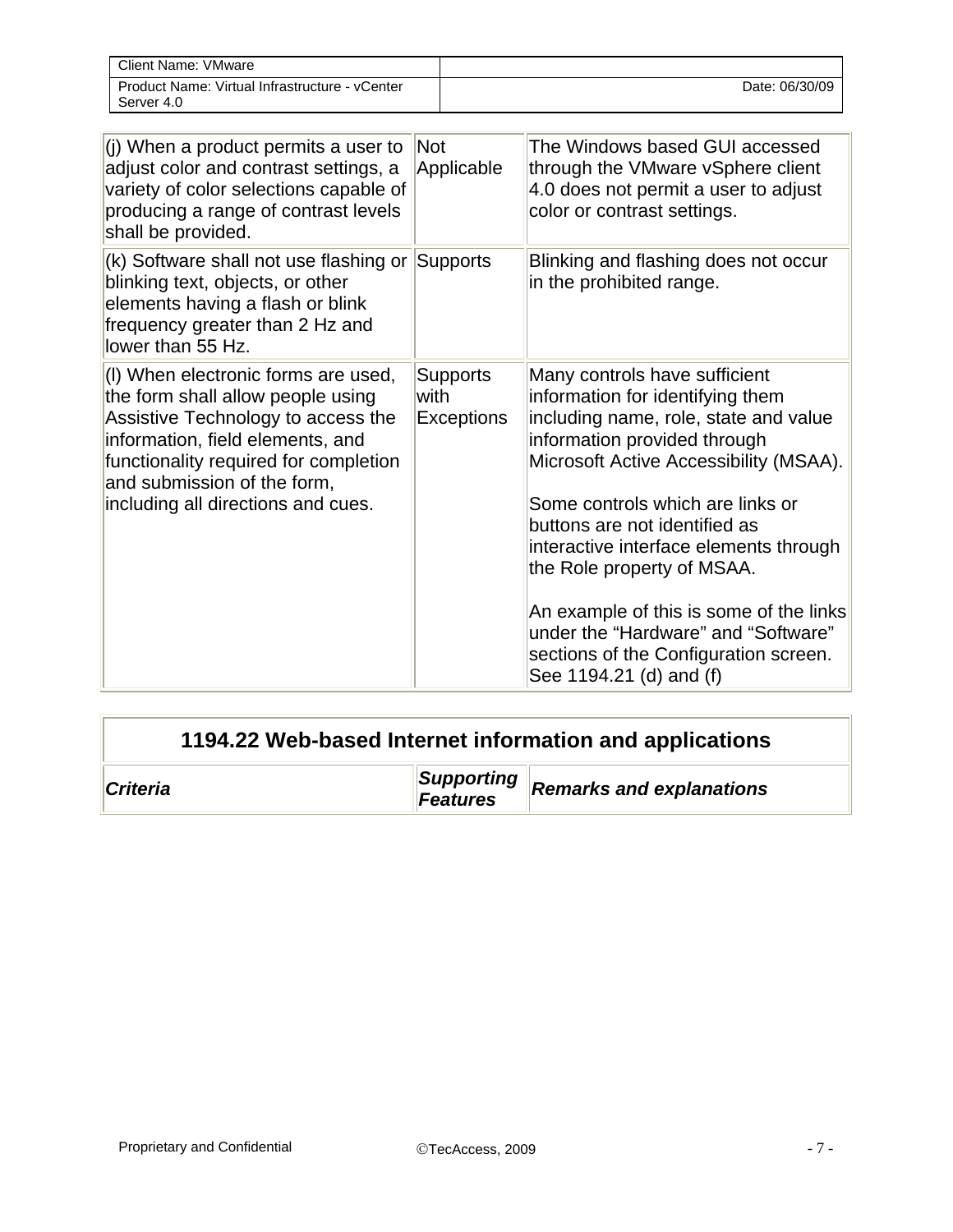| Client Name: VMware                                          |                |
|--------------------------------------------------------------|----------------|
| Product Name: Virtual Infrastructure - vCenter<br>Server 4.0 | Date: 06/30/09 |

| (i) When a product permits a user to<br>adjust color and contrast settings, a<br>variety of color selections capable of<br>producing a range of contrast levels<br>shall be provided.                                                                            | Not<br>Applicable                            | The Windows based GUI accessed<br>through the VMware vSphere client<br>4.0 does not permit a user to adjust<br>color or contrast settings.                                                                                                                                                                                                                                                                                                                                              |
|------------------------------------------------------------------------------------------------------------------------------------------------------------------------------------------------------------------------------------------------------------------|----------------------------------------------|-----------------------------------------------------------------------------------------------------------------------------------------------------------------------------------------------------------------------------------------------------------------------------------------------------------------------------------------------------------------------------------------------------------------------------------------------------------------------------------------|
| (k) Software shall not use flashing or<br>blinking text, objects, or other<br>elements having a flash or blink<br>frequency greater than 2 Hz and<br>lower than 55 Hz.                                                                                           | Supports                                     | Blinking and flashing does not occur<br>in the prohibited range.                                                                                                                                                                                                                                                                                                                                                                                                                        |
| (I) When electronic forms are used,<br>the form shall allow people using<br>Assistive Technology to access the<br>information, field elements, and<br>functionality required for completion<br>and submission of the form,<br>including all directions and cues. | <b>Supports</b><br>with<br><b>Exceptions</b> | Many controls have sufficient<br>information for identifying them<br>including name, role, state and value<br>information provided through<br>Microsoft Active Accessibility (MSAA).<br>Some controls which are links or<br>buttons are not identified as<br>interactive interface elements through<br>the Role property of MSAA.<br>An example of this is some of the links<br>under the "Hardware" and "Software"<br>sections of the Configuration screen.<br>See 1194.21 (d) and (f) |

| 1194.22 Web-based Internet information and applications |                        |                                 |
|---------------------------------------------------------|------------------------|---------------------------------|
| <b>Criteria</b>                                         | Supporting<br>Features | <b>Remarks and explanations</b> |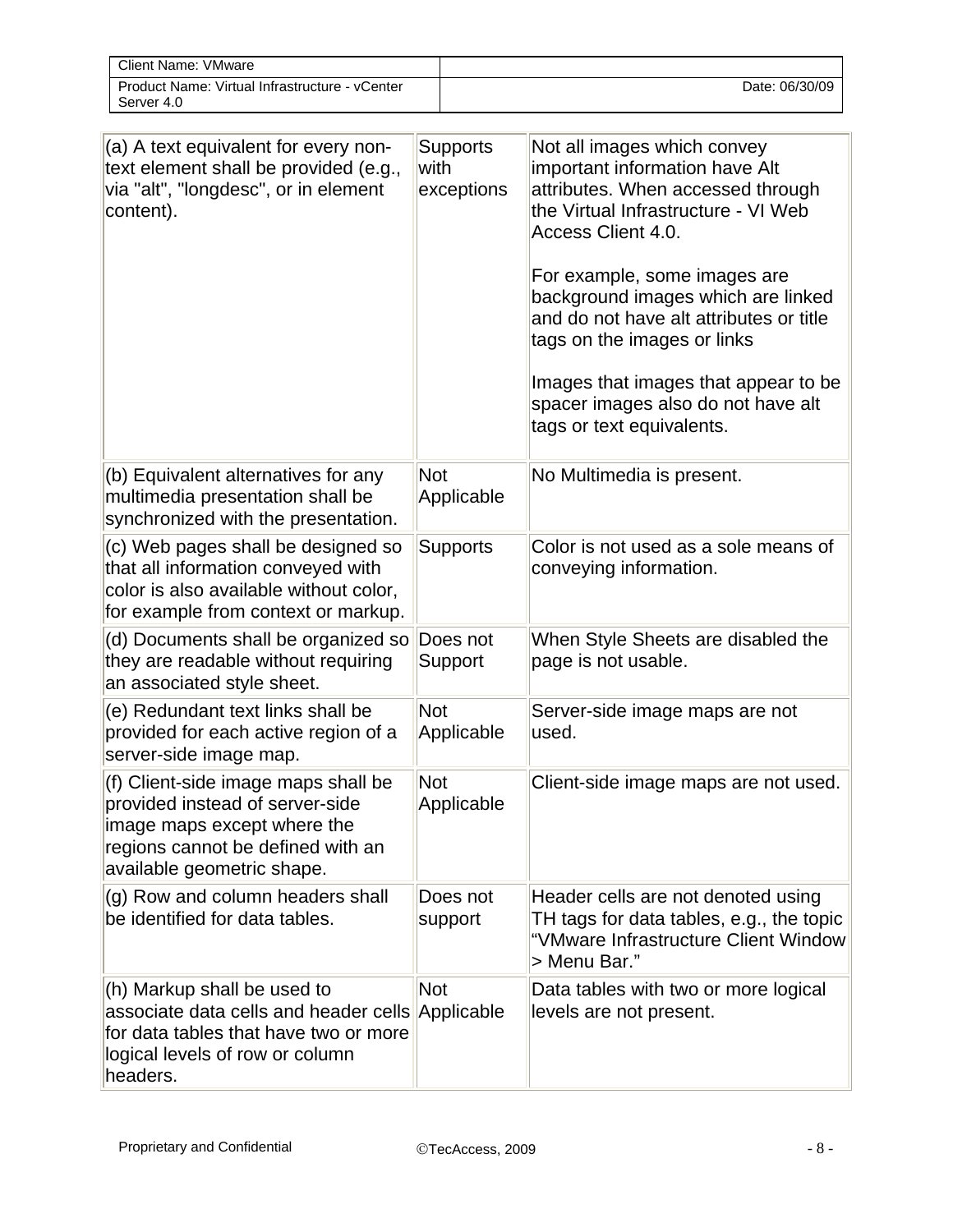| Client Name: VMware                                          |                |
|--------------------------------------------------------------|----------------|
| Product Name: Virtual Infrastructure - vCenter<br>Server 4.0 | Date: 06/30/09 |

| (a) A text equivalent for every non-<br>text element shall be provided (e.g.,<br>via "alt", "longdesc", or in element<br>content).                                       | <b>Supports</b><br>with<br>exceptions | Not all images which convey<br>important information have Alt<br>attributes. When accessed through<br>the Virtual Infrastructure - VI Web<br><b>Access Client 4.0.</b><br>For example, some images are<br>background images which are linked<br>and do not have alt attributes or title<br>tags on the images or links<br>Images that images that appear to be<br>spacer images also do not have alt<br>tags or text equivalents. |
|--------------------------------------------------------------------------------------------------------------------------------------------------------------------------|---------------------------------------|-----------------------------------------------------------------------------------------------------------------------------------------------------------------------------------------------------------------------------------------------------------------------------------------------------------------------------------------------------------------------------------------------------------------------------------|
| (b) Equivalent alternatives for any<br>multimedia presentation shall be<br>synchronized with the presentation.                                                           | <b>Not</b><br>Applicable              | No Multimedia is present.                                                                                                                                                                                                                                                                                                                                                                                                         |
| (c) Web pages shall be designed so<br>that all information conveyed with<br>color is also available without color,<br>for example from context or markup.                | <b>Supports</b>                       | Color is not used as a sole means of<br>conveying information.                                                                                                                                                                                                                                                                                                                                                                    |
| (d) Documents shall be organized so<br>they are readable without requiring<br>an associated style sheet.                                                                 | Does not<br>Support                   | When Style Sheets are disabled the<br>page is not usable.                                                                                                                                                                                                                                                                                                                                                                         |
| (e) Redundant text links shall be<br>provided for each active region of a<br>server-side image map.                                                                      | <b>Not</b><br>Applicable              | Server-side image maps are not<br>used.                                                                                                                                                                                                                                                                                                                                                                                           |
| (f) Client-side image maps shall be<br>provided instead of server-side<br>image maps except where the<br>regions cannot be defined with an<br>available geometric shape. | <b>Not</b><br>Applicable              | Client-side image maps are not used.                                                                                                                                                                                                                                                                                                                                                                                              |
| (g) Row and column headers shall<br>be identified for data tables.                                                                                                       | Does not<br>support                   | Header cells are not denoted using<br>TH tags for data tables, e.g., the topic<br>"VMware Infrastructure Client Window<br>> Menu Bar."                                                                                                                                                                                                                                                                                            |
| (h) Markup shall be used to<br>associate data cells and header cells<br>for data tables that have two or more<br>logical levels of row or column<br>headers.             | <b>Not</b><br>Applicable              | Data tables with two or more logical<br>levels are not present.                                                                                                                                                                                                                                                                                                                                                                   |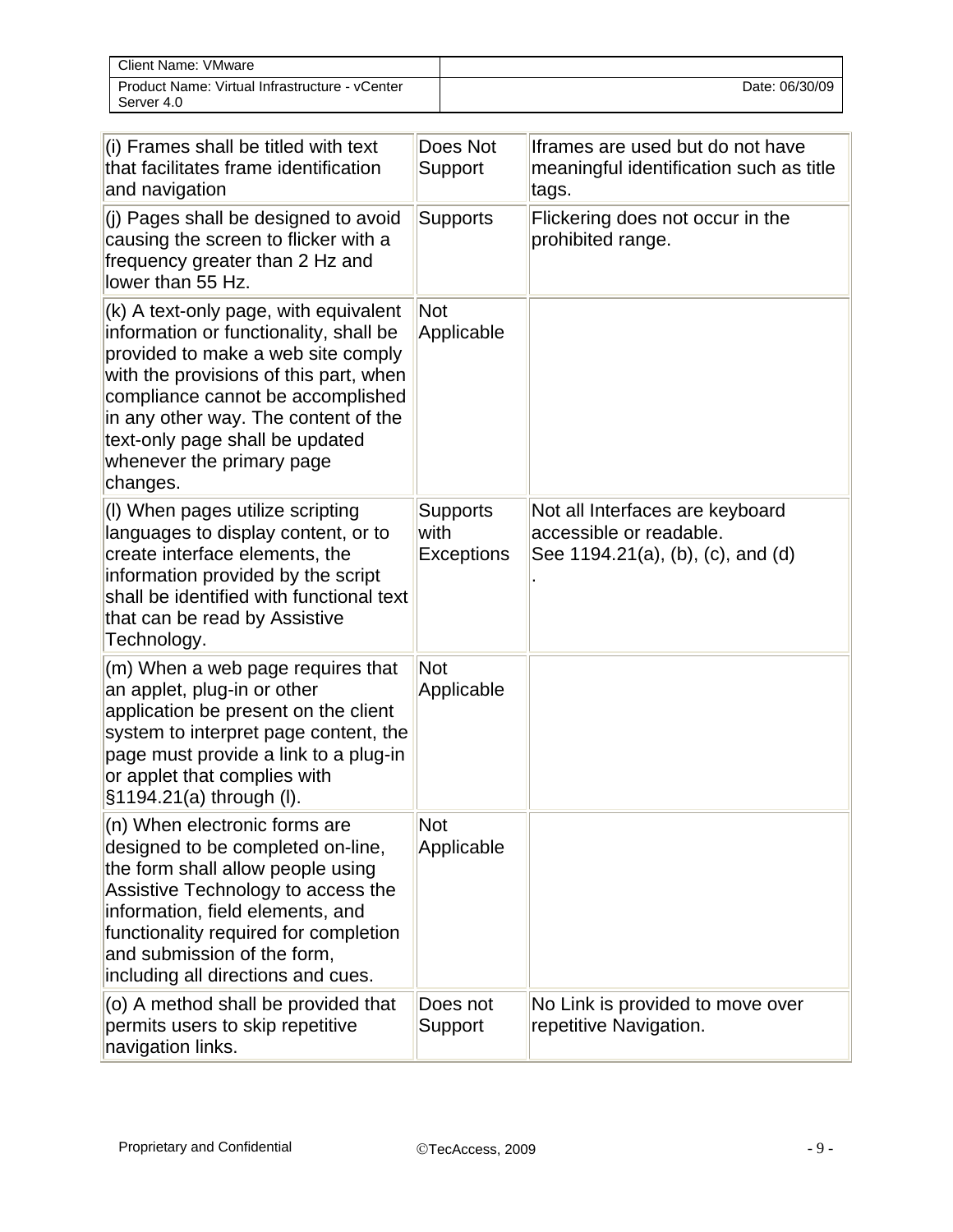| <b>Client Name: VMware</b>                                   |                |
|--------------------------------------------------------------|----------------|
| Product Name: Virtual Infrastructure - vCenter<br>Server 4.0 | Date: 06/30/09 |

| (i) Frames shall be titled with text<br>that facilitates frame identification<br>and navigation                                                                                                                                                                                                                          | Does Not<br>Support                          | Iframes are used but do not have<br>meaningful identification such as title<br>tags.            |
|--------------------------------------------------------------------------------------------------------------------------------------------------------------------------------------------------------------------------------------------------------------------------------------------------------------------------|----------------------------------------------|-------------------------------------------------------------------------------------------------|
| (j) Pages shall be designed to avoid<br>causing the screen to flicker with a<br>frequency greater than 2 Hz and<br>lower than 55 Hz.                                                                                                                                                                                     | <b>Supports</b>                              | Flickering does not occur in the<br>prohibited range.                                           |
| (k) A text-only page, with equivalent<br>information or functionality, shall be<br>provided to make a web site comply<br>with the provisions of this part, when<br>compliance cannot be accomplished<br>in any other way. The content of the<br>text-only page shall be updated<br>whenever the primary page<br>changes. | Not<br>Applicable                            |                                                                                                 |
| (I) When pages utilize scripting<br>languages to display content, or to<br>create interface elements, the<br>information provided by the script<br>shall be identified with functional text<br>that can be read by Assistive<br>Technology.                                                                              | <b>Supports</b><br>with<br><b>Exceptions</b> | Not all Interfaces are keyboard<br>accessible or readable.<br>See 1194.21(a), (b), (c), and (d) |
| (m) When a web page requires that<br>an applet, plug-in or other<br>application be present on the client<br>system to interpret page content, the<br>page must provide a link to a plug-in<br>or applet that complies with<br>§1194.21(a) through (I).                                                                   | <b>Not</b><br>Applicable                     |                                                                                                 |
| (n) When electronic forms are<br>designed to be completed on-line,<br>the form shall allow people using<br>Assistive Technology to access the<br>information, field elements, and<br>functionality required for completion<br>and submission of the form,<br>including all directions and cues.                          | <b>Not</b><br>Applicable                     |                                                                                                 |
| (o) A method shall be provided that<br>permits users to skip repetitive<br>navigation links.                                                                                                                                                                                                                             | Does not<br>Support                          | No Link is provided to move over<br>repetitive Navigation.                                      |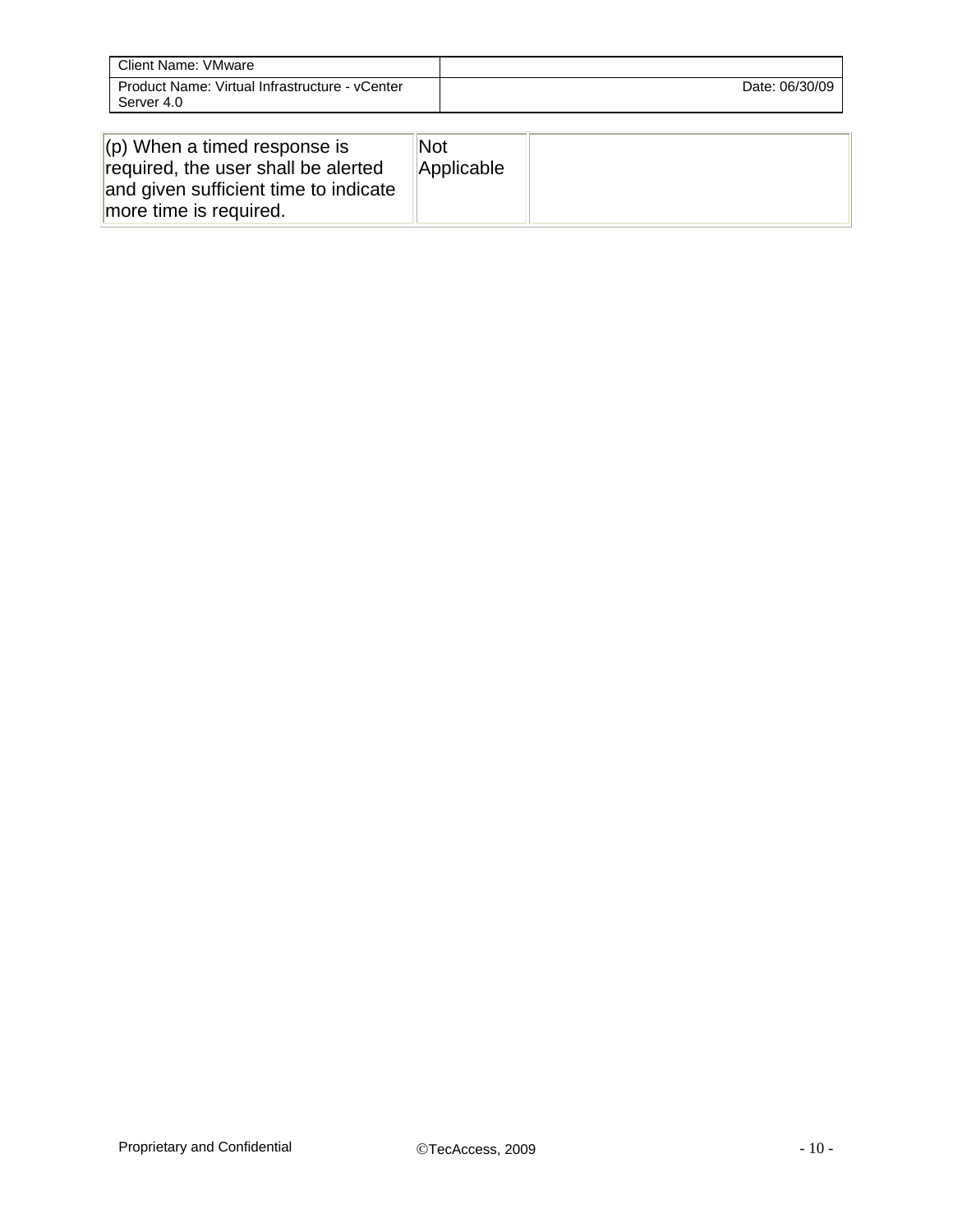| Client Name: VMware                                          |                |
|--------------------------------------------------------------|----------------|
| Product Name: Virtual Infrastructure - vCenter<br>Server 4.0 | Date: 06/30/09 |

| $\vert$ (p) When a timed response is<br>required, the user shall be alerted<br>and given sufficient time to indicate<br>more time is required. | Not<br>Applicable |  |
|------------------------------------------------------------------------------------------------------------------------------------------------|-------------------|--|
|------------------------------------------------------------------------------------------------------------------------------------------------|-------------------|--|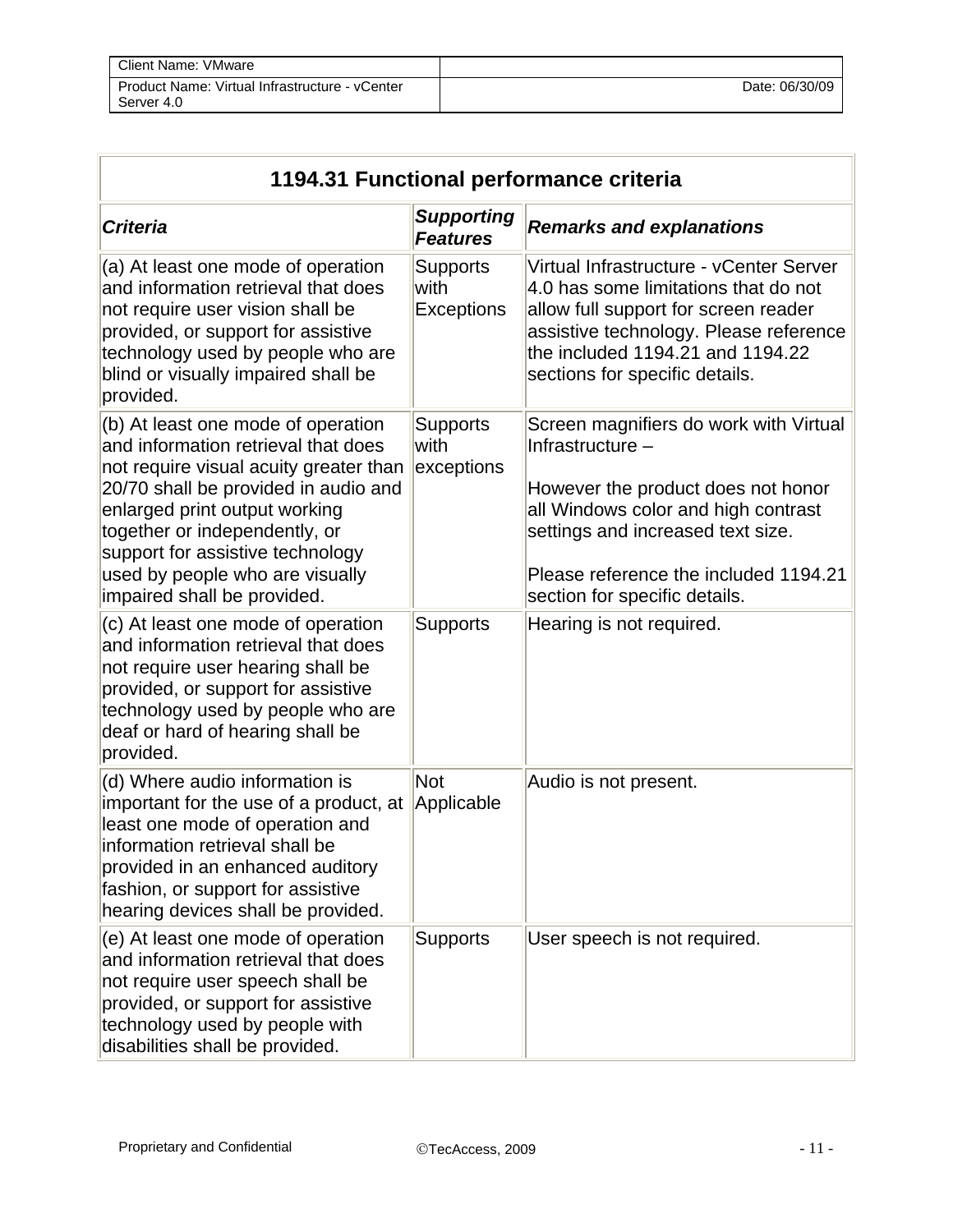| <b>Client Name: VMware</b>                                   |                |
|--------------------------------------------------------------|----------------|
| Product Name: Virtual Infrastructure - vCenter<br>Server 4.0 | Date: 06/30/09 |

| 1194.31 Functional performance criteria                                                                                                                                                                                                                                                                                             |                                       |                                                                                                                                                                                                                                                        |
|-------------------------------------------------------------------------------------------------------------------------------------------------------------------------------------------------------------------------------------------------------------------------------------------------------------------------------------|---------------------------------------|--------------------------------------------------------------------------------------------------------------------------------------------------------------------------------------------------------------------------------------------------------|
| <b>Criteria</b>                                                                                                                                                                                                                                                                                                                     | <b>Supporting</b><br><b>Features</b>  | <b>Remarks and explanations</b>                                                                                                                                                                                                                        |
| (a) At least one mode of operation<br>and information retrieval that does<br>not require user vision shall be<br>provided, or support for assistive<br>technology used by people who are<br>blind or visually impaired shall be<br>provided.                                                                                        | <b>Supports</b><br>with<br>Exceptions | Virtual Infrastructure - vCenter Server<br>4.0 has some limitations that do not<br>allow full support for screen reader<br>assistive technology. Please reference<br>the included 1194.21 and 1194.22<br>sections for specific details.                |
| (b) At least one mode of operation<br>and information retrieval that does<br>not require visual acuity greater than<br>20/70 shall be provided in audio and<br>enlarged print output working<br>together or independently, or<br>support for assistive technology<br>used by people who are visually<br>impaired shall be provided. | <b>Supports</b><br>with<br>exceptions | Screen magnifiers do work with Virtual<br>Infrastructure -<br>However the product does not honor<br>all Windows color and high contrast<br>settings and increased text size.<br>Please reference the included 1194.21<br>section for specific details. |
| (c) At least one mode of operation<br>and information retrieval that does<br>not require user hearing shall be<br>provided, or support for assistive<br>technology used by people who are<br>deaf or hard of hearing shall be<br>provided.                                                                                          | <b>Supports</b>                       | Hearing is not required.                                                                                                                                                                                                                               |
| (d) Where audio information is<br>important for the use of a product, at<br>least one mode of operation and<br>information retrieval shall be<br>provided in an enhanced auditory<br>fashion, or support for assistive<br>hearing devices shall be provided.                                                                        | Not<br>Applicable                     | Audio is not present.                                                                                                                                                                                                                                  |
| (e) At least one mode of operation<br>and information retrieval that does<br>not require user speech shall be<br>provided, or support for assistive<br>technology used by people with<br>disabilities shall be provided.                                                                                                            | <b>Supports</b>                       | User speech is not required.                                                                                                                                                                                                                           |

Īr

 $\overline{\phantom{a}}$